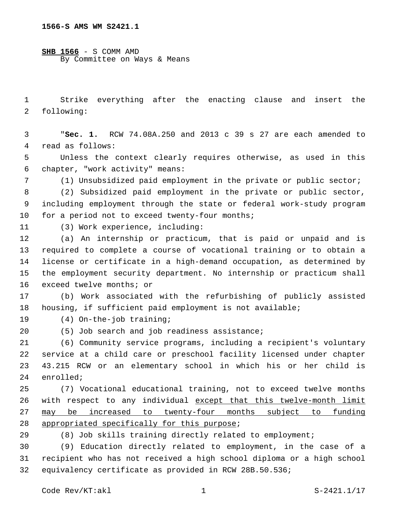**SHB 1566** - S COMM AMD By Committee on Ways & Means

1 Strike everything after the enacting clause and insert the 2 following:

3 "**Sec. 1.** RCW 74.08A.250 and 2013 c 39 s 27 are each amended to 4 read as follows:

5 Unless the context clearly requires otherwise, as used in this chapter, "work activity" means:6

7 (1) Unsubsidized paid employment in the private or public sector;

8 (2) Subsidized paid employment in the private or public sector, 9 including employment through the state or federal work-study program 10 for a period not to exceed twenty-four months;

(3) Work experience, including:11

 (a) An internship or practicum, that is paid or unpaid and is required to complete a course of vocational training or to obtain a license or certificate in a high-demand occupation, as determined by the employment security department. No internship or practicum shall 16 exceed twelve months; or

17 (b) Work associated with the refurbishing of publicly assisted 18 housing, if sufficient paid employment is not available;

19 (4) On-the-job training;

(5) Job search and job readiness assistance;20

 (6) Community service programs, including a recipient's voluntary service at a child care or preschool facility licensed under chapter 43.215 RCW or an elementary school in which his or her child is 24 enrolled;

25 (7) Vocational educational training, not to exceed twelve months 26 with respect to any individual except that this twelve-month limit 27 may be increased to twenty-four months subject to funding 28 appropriated specifically for this purpose;

29 (8) Job skills training directly related to employment;

30 (9) Education directly related to employment, in the case of a 31 recipient who has not received a high school diploma or a high school 32 equivalency certificate as provided in RCW 28B.50.536;